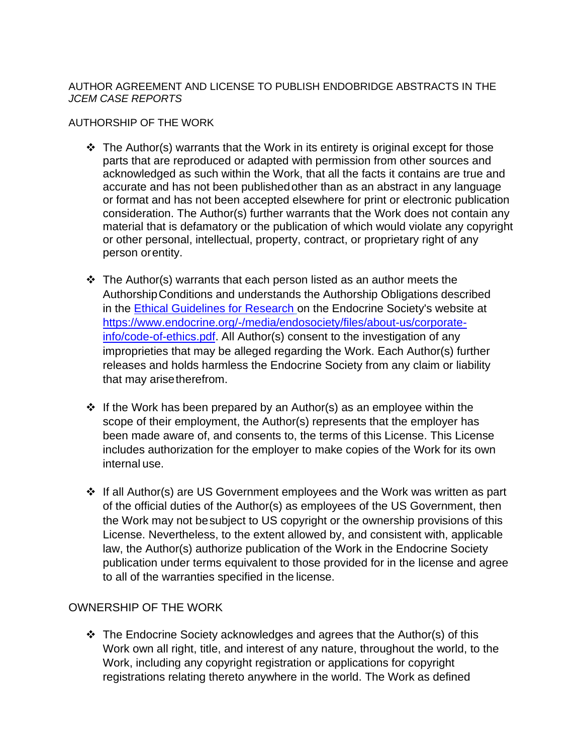## AUTHOR AGREEMENT AND LICENSE TO PUBLISH ENDOBRIDGE ABSTRACTS IN THE *JCEM CASE REPORTS*

#### AUTHORSHIP OF THE WORK

- $\div$  The Author(s) warrants that the Work in its entirety is original except for those parts that are reproduced or adapted with permission from other sources and acknowledged as such within the Work, that all the facts it contains are true and accurate and has not been publishedother than as an abstract in any language or format and has not been accepted elsewhere for print or electronic publication consideration. The Author(s) further warrants that the Work does not contain any material that is defamatory or the publication of which would violate any copyright or other personal, intellectual, property, contract, or proprietary right of any person orentity.
- $\cdot \cdot$  The Author(s) warrants that each person listed as an author meets the AuthorshipConditions and understands the Authorship Obligations described in the [Ethical Guidelines for Research](https://www.endocrine.org/-/media/endosociety/files/about-us/corporate-info/code-of-ethics.pdf?la=en) on the Endocrine Society's website at [https://www.endocrine.org/-/media/endosociety/files/about-us/corporate](https://www.endocrine.org/-/media/endosociety/files/about-us/corporate-info/code-of-ethics.pdf)[info/code-of-ethics.pdf.](https://www.endocrine.org/-/media/endosociety/files/about-us/corporate-info/code-of-ethics.pdf) All Author(s) consent to the investigation of any improprieties that may be alleged regarding the Work. Each Author(s) further releases and holds harmless the Endocrine Society from any claim or liability that may arisetherefrom.
- ❖ If the Work has been prepared by an Author(s) as an employee within the scope of their employment, the Author(s) represents that the employer has been made aware of, and consents to, the terms of this License. This License includes authorization for the employer to make copies of the Work for its own internal use.
- ❖ If all Author(s) are US Government employees and the Work was written as part of the official duties of the Author(s) as employees of the US Government, then the Work may not besubject to US copyright or the ownership provisions of this License. Nevertheless, to the extent allowed by, and consistent with, applicable law, the Author(s) authorize publication of the Work in the Endocrine Society publication under terms equivalent to those provided for in the license and agree to all of the warranties specified in the license.

# OWNERSHIP OF THE WORK

❖ The Endocrine Society acknowledges and agrees that the Author(s) of this Work own all right, title, and interest of any nature, throughout the world, to the Work, including any copyright registration or applications for copyright registrations relating thereto anywhere in the world. The Work as defined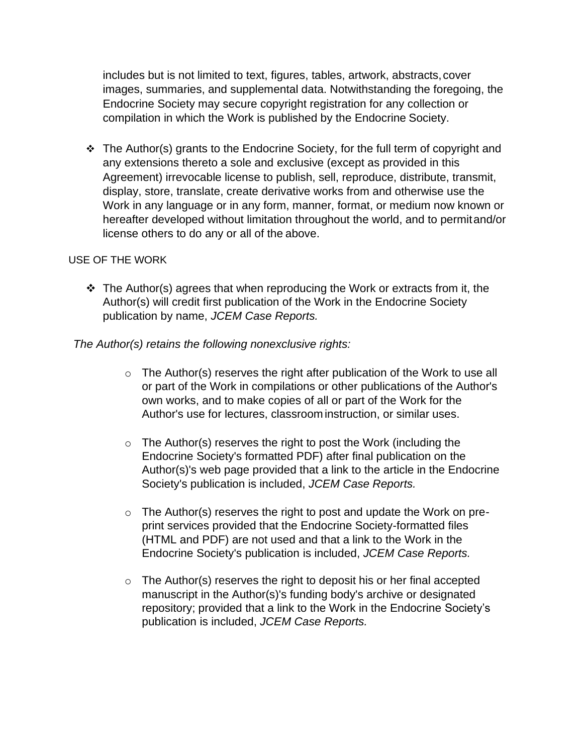includes but is not limited to text, figures, tables, artwork, abstracts, cover images, summaries, and supplemental data. Notwithstanding the foregoing, the Endocrine Society may secure copyright registration for any collection or compilation in which the Work is published by the Endocrine Society.

❖ The Author(s) grants to the Endocrine Society, for the full term of copyright and any extensions thereto a sole and exclusive (except as provided in this Agreement) irrevocable license to publish, sell, reproduce, distribute, transmit, display, store, translate, create derivative works from and otherwise use the Work in any language or in any form, manner, format, or medium now known or hereafter developed without limitation throughout the world, and to permitand/or license others to do any or all of the above.

## USE OF THE WORK

❖ The Author(s) agrees that when reproducing the Work or extracts from it, the Author(s) will credit first publication of the Work in the Endocrine Society publication by name, *JCEM Case Reports.* 

## *The Author(s) retains the following nonexclusive rights:*

- $\circ$  The Author(s) reserves the right after publication of the Work to use all or part of the Work in compilations or other publications of the Author's own works, and to make copies of all or part of the Work for the Author's use for lectures, classroom instruction, or similar uses.
- $\circ$  The Author(s) reserves the right to post the Work (including the Endocrine Society's formatted PDF) after final publication on the Author(s)'s web page provided that a link to the article in the Endocrine Society's publication is included, *JCEM Case Reports.*
- $\circ$  The Author(s) reserves the right to post and update the Work on preprint services provided that the Endocrine Society-formatted files (HTML and PDF) are not used and that a link to the Work in the Endocrine Society's publication is included, *JCEM Case Reports.*
- o The Author(s) reserves the right to deposit his or her final accepted manuscript in the Author(s)'s funding body's archive or designated repository; provided that a link to the Work in the Endocrine Society's publication is included, *JCEM Case Reports.*